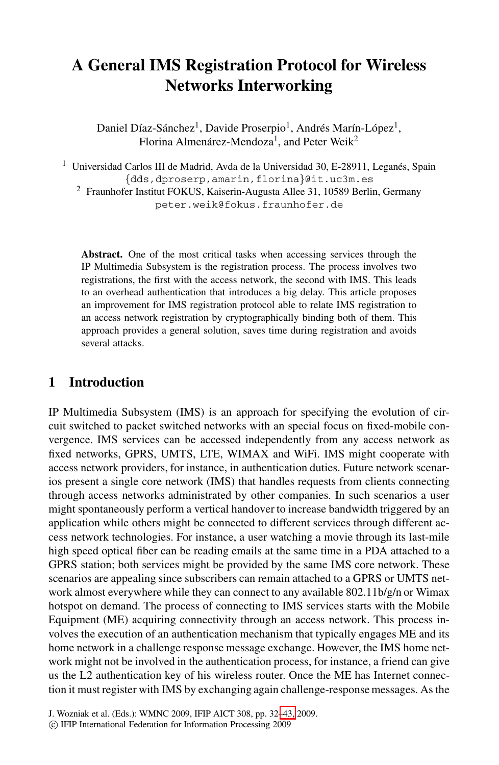# **A General IMS Registration Protocol for Wireless Networks Interworking**

Daniel Díaz-Sánchez<sup>1</sup>, Davide Proserpio<sup>1</sup>, Andrés Marín-López<sup>1</sup>, Florina Almenárez-Mendoza<sup>1</sup>, and Peter Weik<sup>2</sup>

 $1$  Universidad Carlos III de Madrid, Avda de la Universidad 30, E-28911, Leganés, Spain *{*dds,dproserp,amarin,florina*}*@it.uc3m.es <sup>2</sup> Fraunhofer Institut FOKUS, Kaiserin-Augusta Allee 31, 10589 Berlin, Germany peter.weik@fokus.fraunhofer.de

**Abstract.** One of the most critical tasks when accessing services through the IP Multimedia Subsystem is the registration process. The process involves two registrations, the first with the access network, the second with IMS. This leads to an overhead authentication that introduces a big delay. This article proposes an improvement for IMS registration protocol able to relate IMS registration to an access network registration by cryptographically binding both of them. This approach provides a general solution, saves time during registration and avoids several attacks.

## **1 Introduction**

IP Multimedia Subsystem (IMS) is an approach for specifying the evolution of circuit switched to packet switched networks with an special focus on fixed-mobile convergence. IMS services can be accessed independently from any access network as fixed networks, GPRS, UMTS, LTE, WIMAX and WiFi. IMS might cooperate with access network providers, for instance, in authentication duties. Future network scenarios present a single core network (IMS) that handles requests from clients connecting through access networks administrated by other companies. In such scenarios a user might spontaneously perform a vertical handover to increase bandwidth triggered by an application while others might be connected to different services through different access network technologies. For instance, a user watching a movie through its last-mile high speed optical fiber can be reading emails at the same time in a PDA attached to a GPRS station; both services might be provided by the same IMS core network. These scenarios are appealing since subscribers can remain attached to a GPRS or UMTS network almost everywhere while they can connect to any available 802.11b/g/n or Wimax hotspot on demand. The pro[cess](#page-11-0) of connecting to IMS services starts with the Mobile Equipment (ME) acquiring connectivity through an access network. This process involves the execution of an authentication mechanism that typically engages ME and its home network in a challenge response message exchange. However, the IMS home network might not be involved in the authentication process, for instance, a friend can give us the L2 authentication key of his wireless router. Once the ME has Internet connection it must register with IMS by exchanging again challenge-response messages. As the

J. Wozniak et al. (Eds.): WMNC 2009, IFIP AICT 308, pp. 32–43, 2009.

c IFIP International Federation for Information Processing 2009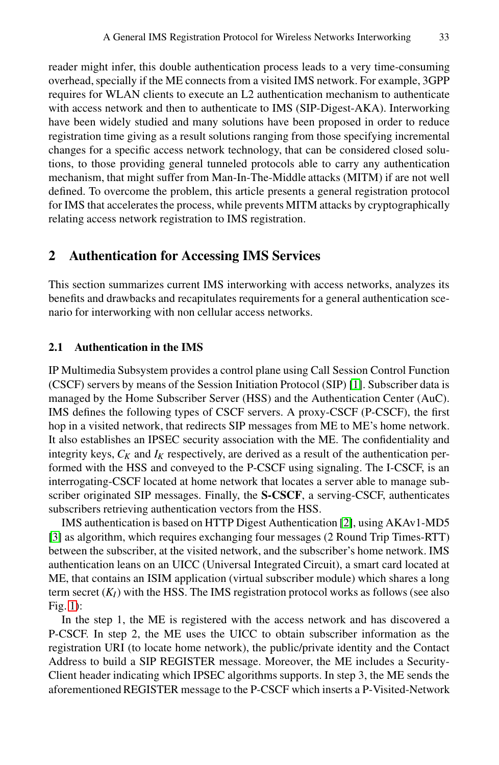reader might infer, this double authentication process leads to a very time-consuming overhead, specially if the ME connects from a visited IMS network. For example, 3GPP requires for WLAN clients to execute an L2 authentication mechanism to authenticate with access network and then to authenticate to IMS (SIP-Digest-AKA). Interworking have been widely studied and many solutions have been proposed in order to reduce registration time giving as a result solutions ranging from those specifying incremental changes for a specific access network technology, that can be considered closed solutions, to those providing general tunneled protocols able to carry any authentication mechanism, that might suffer from Man-In-The-Middle attacks (MITM) if are not well defined. To overcome the problem, this article presents a general registration protocol for IMS that accelerates the process, while prevents MITM attacks by cryptographically relating access network registration to IMS registration.

## **2 Authentication for Accessing IMS Services**

This section summarizes current IMS inter[wor](#page-10-0)king with access networks, analyzes its benefits and drawbacks and recapitulates requirements for a general authentication scenario for interworking with non cellular access networks.

## **2.1 Authentication in the IMS**

IP Multimedia Subsystem provides a control plane using Call Session Control Function (CSCF) servers by means of the Session Initiation Protocol (SIP) [1]. Subscriber data is managed by the Home Subscriber Server (HSS) and the Authentication Center (AuC). IMS defines the following types of CSCF [se](#page-10-1)rvers. A proxy-CSCF (P-CSCF), the first hop in a visited network, that redirects SIP messages from ME to ME's home network. It also establishes an IPSEC security association with the ME. The confidentiality and integrity keys,  $C_K$  and  $I_K$  respectively, are derived as a result of the authentication performed with the HSS and conveyed to the P-CSCF using signaling. The I-CSCF, is an interrogating-CSCF located at home network that locates a server able to manage subscriber originated SIP messages. Finally, the **S-CSCF**, a serving-CSCF, authenticates subscribers retrieving authentication vectors from the HSS.

IMS authentication is based on HTTP Digest Authentication [2], using AKAv1-MD5 [3] as algorithm, which requires exchanging four messages (2 Round Trip Times-RTT) between the subscriber, at the visited network, and the subscriber's home network. IMS authentication leans on an UICC (Universal Integrated Circuit), a smart card located at ME, that contains an ISIM application (virtual subscriber module) which shares a long term secret  $(K_I)$  with the HSS. The IMS registration protocol works as follows (see also Fig. 1):

In the step 1, the ME is registered with the access network and has discovered a P-CSCF. In step 2, the ME uses the UICC to obtain subscriber information as the registration URI (to locate home network), the public/private identity and the Contact Address to build a SIP REGISTER message. Moreover, the ME includes a Security-Client header indicating which IPSEC algorithms supports. In step 3, the ME sends the aforementioned REGISTER message to the P-CSCF which inserts a P-Visited-Network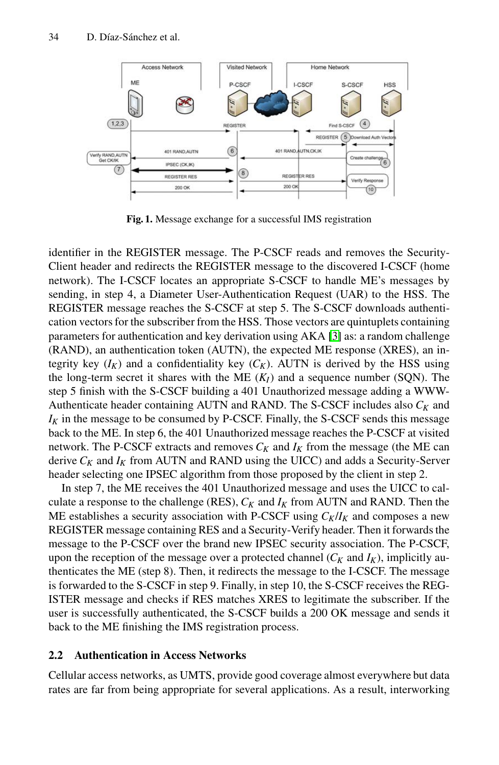

**Fig. 1.** Message exchange [fo](#page-10-2)r a successful IMS registration

identifier in the REGISTER message. The P-CSCF reads and removes the Security-Client header and redirects the REGISTER message to the discovered I-CSCF (home network). The I-CSCF locates an appropriate S-CSCF to handle ME's messages by sending, in step 4, a Diameter User-Authentication Request (UAR) to the HSS. The REGISTER message reaches the S-CSCF at step 5. The S-CSCF downloads authentication vectors for the subscriber from the HSS. Those vectors are quintuplets containing parameters for authentication and key derivation using AKA [3] as: a random challenge (RAND), an authentication token (AUTN), the expected ME response (XRES), an integrity key  $(I_K)$  and a confidentiality key  $(C_K)$ . AUTN is derived by the HSS using the long-term secret it shares with the ME  $(K_I)$  and a sequence number (SQN). The step 5 finish with the S-CSCF building a 401 Unauthorized message adding a WWW-Authenticate header containing AUTN and RAND. The S-CSCF includes also  $C_K$  and  $I_K$  in the message to be consumed by P-CSCF. Finally, the S-CSCF sends this message back to the ME. In step 6, the 401 Unauthorized message reaches the P-CSCF at visited network. The P-CSCF extracts and removes  $C_K$  and  $I_K$  from the message (the ME can derive  $C_K$  and  $I_K$  from AUTN and RAND using the UICC) and adds a Security-Server header selecting one IPSEC algorithm from those proposed by the client in step 2.

In step 7, the ME receives the 401 Unauthorized message and uses the UICC to calculate a response to the challenge (RES),  $C_K$  and  $I_K$  from AUTN and RAND. Then the ME establishes a security association with P-CSCF using  $C_K/I_K$  and composes a new REGISTER message containing RES and a Security-Verify header. Then it forwards the message to the P-CSCF over the brand new IPSEC security association. The P-CSCF, upon the reception of the message over a protected channel  $(C_K$  and  $I_K$ ), implicitly authenticates the ME (step 8). Then, it redirects the message to the I-CSCF. The message is forwarded to the S-CSCF in step 9. Finally, in step 10, the S-CSCF receives the REG-ISTER message and checks if RES matches XRES to legitimate the subscriber. If the user is successfully authenticated, the S-CSCF builds a 200 OK message and sends it back to the ME finishing the IMS registration process.

## **2.2 Authentication in Access Networks**

Cellular access networks, as UMTS, provide good coverage almost everywhere but data rates are far from being appropriate for several applications. As a result, interworking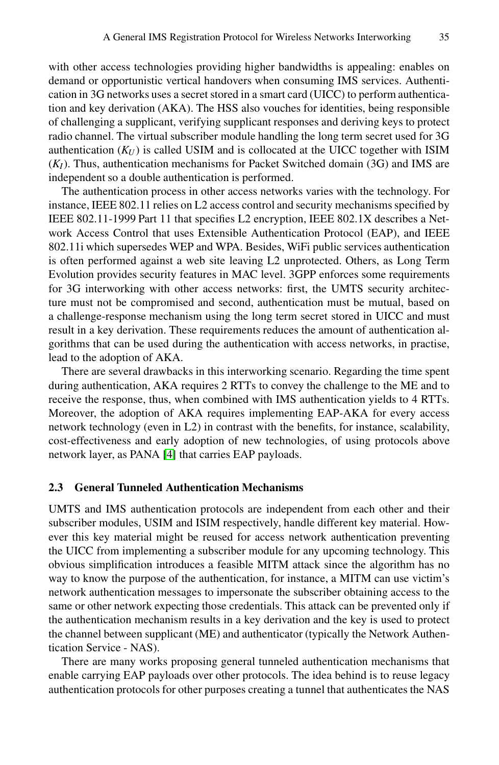with other access technologies providing higher bandwidths is appealing: enables on demand or opportunistic vertical handovers when consuming IMS services. Authentication in 3G networks uses a secret stored in a smart card (UICC) to perform authentication and key derivation (AKA). The HSS also vouches for identities, being responsible of challenging a supplicant, verifying supplicant responses and deriving keys to protect radio channel. The virtual subscriber module handling the long term secret used for 3G authentication  $(K_U)$  is called USIM and is collocated at the UICC together with ISIM (*KI*). Thus, authentication mechanisms for Packet Switched domain (3G) and IMS are independent so a double authentication is performed.

The authentication process in other access networks varies with the technology. For instance, IEEE 802.11 relies on L2 access control and security mechanisms specified by IEEE 802.11-1999 Part 11 that specifies L2 encryption, IEEE 802.1X describes a Network Access Control that uses Extensible Authentication Protocol (EAP), and IEEE 802.11i which supersedes WEP and WPA. Besides, WiFi public services authentication is often performed against a web site leaving L2 unprotected. Others, as Long Term Evolution provides security features in MAC level. 3GPP enforces some requirements for 3G interworking with other access networks: first, the UMTS security architecture must not be compromised and second, authentication must be mutual, based on a challenge-response mechanism using the long term secret stored in UICC and must result in a key derivation. These requirements reduces the amount of authentication algori[thm](#page-10-3)s that can be used during the authentication with access networks, in practise, lead to the adoption of AKA.

There are several drawbacks in this interworking scenario. Regarding the time spent during authentication, AKA requires 2 RTTs to convey the challenge to the ME and to receive the response, thus, when combined with IMS authentication yields to 4 RTTs. Moreover, the adoption of AKA requires implementing EAP-AKA for every access network technology (even in L2) in contrast with the benefits, for instance, scalability, cost-effectiveness and early adoption of new technologies, of using protocols above network layer, as PANA [4] that carries EAP payloads.

#### **2.3 General Tunneled Authentication Mechanisms**

UMTS and IMS authentication protocols are independent from each other and their subscriber modules, USIM and ISIM respectively, handle different key material. However this key material might be reused for access network authentication preventing the UICC from implementing a subscriber module for any upcoming technology. This obvious simplification introduces a feasible MITM attack since the algorithm has no way to know the purpose of the authentication, for instance, a MITM can use victim's network authentication messages to impersonate the subscriber obtaining access to the same or other network expecting those credentials. This attack can be prevented only if the authentication mechanism results in a key derivation and the key is used to protect the channel between supplicant (ME) and authenticator (typically the Network Authentication Service - NAS).

There are many works proposing general tunneled authentication mechanisms that enable carrying EAP payloads over other protocols. The idea behind is to reuse legacy authentication protocols for other purposes creating a tunnel that authenticates the NAS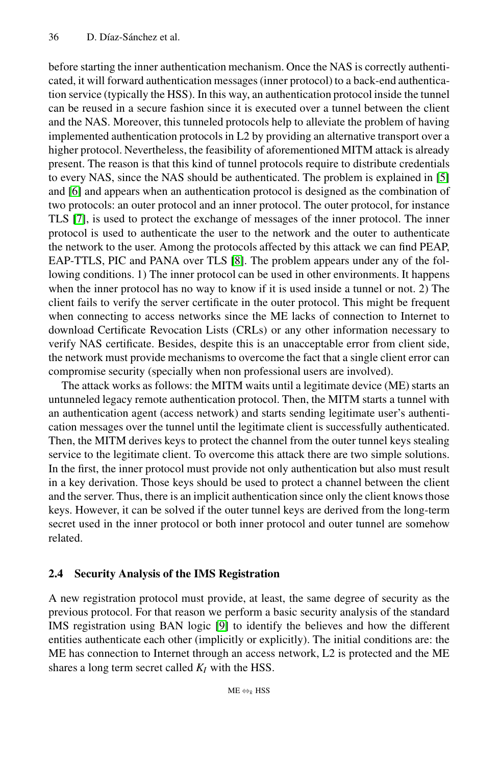#### 36 D. Díaz-Sánchez et al.

before starting the inner authentication mechanism. Once the N[AS](#page-10-4) is correctly authenticated, it will forward authentication messages (inner protocol) to a back-end authentication service (typically the HSS). In this way, an authentication protocol inside the tunnel can be reused in a secure fashion since it is executed over a tunnel between the client and the NAS. Moreover, this tunneled protocols help to alleviate the problem of having implemented authentication protocols in L2 by providing an alternative transport over a higher protocol. N[eve](#page-10-5)rtheless, the feasibility of aforementioned MITM attack is already present. The reason is that this kind of tunnel protocols require to distribute credentials to every NAS, since the NAS should be authenticated. The problem is explained in [5] and [6] and appears when an authentication protocol is designed as the combination of two protocols: an outer protocol and an inner protocol. The outer protocol, for instance TLS [7], is used to protect the exchange of messages of the inner protocol. The inner protocol is used to authenticate the user to the network and the outer to authenticate the network to the user. Among the protocols affected by this attack we can find PEAP, EAP-TTLS, PIC and PANA over TLS [8]. The problem appears under any of the following conditions. 1) The inner protocol can be used in other environments. It happens when the inner protocol has no way to know if it is used inside a tunnel or not. 2) The client fails to verify the server certificate in the outer protocol. This might be frequent when connecting to access networks since the ME lacks of connection to Internet to download Certificate Revocation Lists (CRLs) or any other information necessary to verify NAS certificate. Besides, despite this is an unacceptable error from client side, the network must provide mechanisms to overcome the fact that a single client error can compromise security (specially when non professional users are involved).

The attack works as follows: the MITM waits until a legitimate device (ME) starts an untunneled legacy remote authentication protocol. Then, the MITM starts a tunnel with an authentication agent (access network) and starts sending legitimate user's authentication messages over the tunnel until the legitimate client is successfully authenticated. Then, the MITM derives keys to protect the channel from the outer tunnel keys stealing service to the legitimate client. To overcome this attack there are two simple solutions. In the first, the inner protocol must provide not only authentication but also must result in a key derivation. Those keys should be used to protect a channel between the client and the server. Thus, there is an implicit authentication since only the client knows those keys. However, it can be solved if the outer tunnel keys are derived from the long-term secret used in t[he](#page-10-6) inner protocol or both inner protocol and outer tunnel are somehow related.

#### **2.4 Security Analysis of the IMS Registration**

A new registration protocol must provide, at least, the same degree of security as the previous protocol. For that reason we perform a basic security analysis of the standard IMS registration using BAN logic [9] to identify the believes and how the different entities authenticate each other (implicitly or explicitly). The initial conditions are: the ME has connection to Internet through an access network, L2 is protected and the ME shares a long term secret called  $K_I$  with the HSS.

ME ⇔*<sup>k</sup>* HSS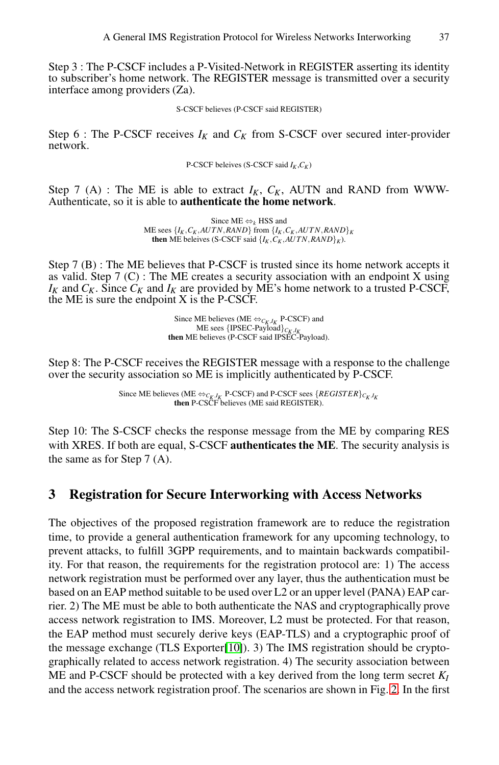Step 3 : The P-CSCF includes a P-Visited-Network in REGISTER asserting its identity to subscriber's home network. The REGISTER message is transmitted over a security interface among providers (Za).

S-CSCF believes (P-CSCF said REGISTER)

Step 6 : The P-CSCF receives  $I_K$  and  $C_K$  from S-CSCF over secured inter-provider network.

P-CSCF beleives (S-CSCF said  $I_K$ , $C_K$ )

Step 7 (A) : The ME is able to extract  $I_K$ ,  $C_K$ , AUTN and RAND from WWW-Authenticate, so it is able to **authenticate the home network**.

> Since ME ⇔*<sup>k</sup>* HSS and ME sees  $\{I_K, C_K, AUTN, RAND\}$  from  $\{I_K, C_K, AUTN, RAND\}_K$ **then** ME beleives (S-CSCF said  $\{I_K, C_K, AUTN, RAND\}_K$ ).

Step 7 (B) : The ME believes that P-CSCF is trusted since its home network accepts it as valid. Step 7 (C) : The ME creates a security association with an endpoint X using  $I_K$  and  $C_K$ . Since  $C_K$  and  $I_K$  are provided by ME's home network to a trusted P-CSCF, the ME is sure the endpoint X is the P-CSCF.

> Since ME believes (ME  $\Leftrightarrow_{C_K, I_K}$  P-CSCF) and ME sees  ${^{{\text{IPSEC-Payload}}}}c_{K,I_K}$ <br> **then** ME believes (P-CSCF said IPSEC-Payload).

Step 8: The P-CSCF receives the REGISTER message with a response to the challenge over the security association so ME is implicitly authenticated by P-CSCF.

Since ME believes (ME  $\Leftrightarrow_{C_K,I_K}$  P-CSCF) and P-CSCF sees  $\{REGISTER\}_{C_K,I_K}$  then P-CSCF believes (ME said REGISTER).

Step 10: The S-CSCF checks the response message from the ME by comparing RES with XRES. If both are equal, S-CSCF **authenticates the ME**. The security analysis is the same as for Step 7 (A).

## **3 Registration for Secure Interworking with Access Networks**

The objectives of the proposed registration framework are to reduce the registration time, to provide [a ge](#page-10-7)neral authentication framework for any upcoming technology, to prevent attacks, to fulfill 3GPP requirements, and to maintain backwards compatibility. For that reason, the requirements for the registration protocol are: 1) The access network registration must be performed over any lay[er,](#page-6-0) thus the authentication must be based on an EAP method suitable to be used over L2 or an upper level (PANA) EAP carrier. 2) The ME must be able to both authenticate the NAS and cryptographically prove access network registration to IMS. Moreover, L2 must be protected. For that reason, the EAP method must securely derive keys (EAP-TLS) and a cryptographic proof of the message exchange (TLS Exporter[10]). 3) The IMS registration should be cryptographically related to access network registration. 4) The security association between ME and P-CSCF should be protected with a key derived from the long term secret  $K_I$ and the access network registration proof. The scenarios are shown in Fig. 2. In the first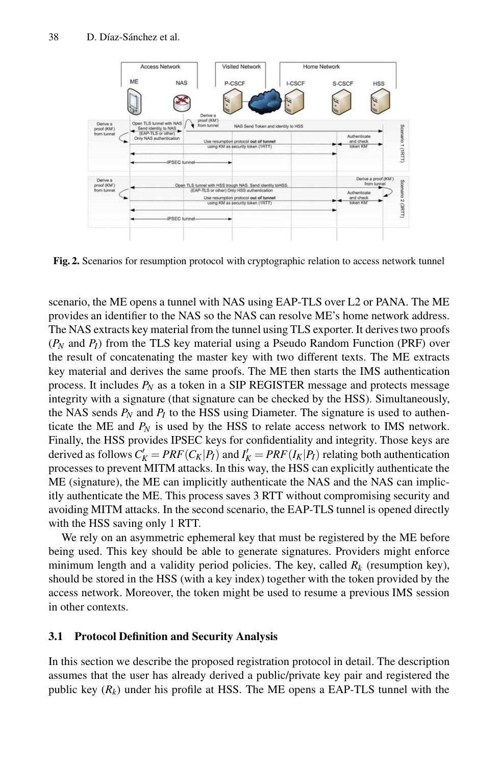

<span id="page-6-0"></span>**Fig. 2.** Scenarios for resumption protocol with cryptographic relation to access network tunnel

scenario, the ME opens a tunnel with NAS using EAP-TLS over L2 or PANA. The ME provides an identifier to the NAS so the NAS can resolve ME's home network address. The NAS extracts key material from the tunnel using TLS exporter. It derives two proofs (*PN* and *PI*) from the TLS key material using a Pseudo Random Function (PRF) over the result of concatenating the master key with two different texts. The ME extracts key material and derives the same proofs. The ME then starts the IMS authentication process. It includes  $P_N$  as a token in a SIP REGISTER message and protects message integrity with a signature (that signature can be checked by the HSS). Simultaneously, the NAS sends  $P_N$  and  $P_I$  to the HSS using Diameter. The signature is used to authenticate the ME and  $P_N$  is used by the HSS to relate access network to IMS network. Finally, the HSS provides IPSEC keys for confidentiality and integrity. Those keys are derived as follows  $C_K' = PRF(C_K|P_I)$  and  $I_K' = PRF(I_K|P_I)$  relating both authentication processes to prevent MITM attacks. In this way, the HSS can explicitly authenticate the ME (signature), the ME can implicitly authenticate the NAS and the NAS can implicitly authenticate the ME. This process saves 3 RTT without compromising security and avoiding MITM attacks. In the second scenario, the EAP-TLS tunnel is opened directly with the HSS saving only 1 RTT.

We rely on an asymmetric ephemeral key that must be registered by the ME before being used. This key should be able to generate signatures. Providers might enforce minimum length and a validity period policies. The key, called *Rk* (resumption key), should be stored in the HSS (with a key index) together with the token provided by the access network. Moreover, the token might be used to resume a previous IMS session in other contexts.

### **3.1 Protocol Definition and Security Analysis**

In this section we describe the proposed registration protocol in detail. The description assumes that the user has already derived a public/private key pair and registered the public key  $(R_k)$  under his profile at HSS. The ME opens a EAP-TLS tunnel with the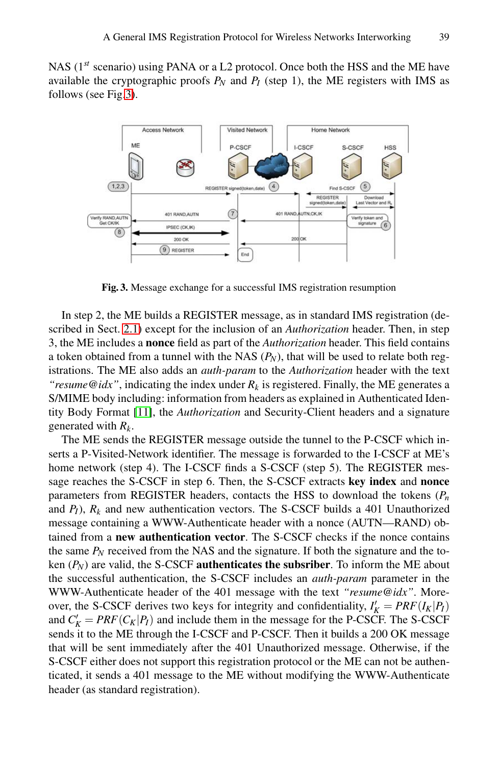NAS (1*st* scenario) using PANA or a L2 protocol. Once both the HSS and the ME have available the cryptographic proofs  $P_N$  and  $P_I$  (step 1), the ME registers with IMS as follows (see Fig.3).



**Fig. 3.** Message exchange for a successful IMS registration resumption

In step 2, the ME builds a REGISTER message, as in standard IMS registration (described in Sect. 2.1) except for the inclusion of an *Authorization* header. Then, in step 3, the ME includes a **nonce** field as part of the *Authorization* header. This field contains a token obtained from a tunnel with the NAS  $(P_N)$ , that will be used to relate both registrations. The ME also adds an *auth-param* to the *Authorization* header with the text *"resume@idx"*, indicating the index under  $R_k$  is registered. Finally, the ME generates a S/MIME body including: information from headers as explained in Authenticated Identity Body Format [11], the *Authorization* and Security-Client headers and a signature generated with  $R_k$ .

The ME sends the REGISTER message outside the tunnel to the P-CSCF which inserts a P-Visited-Network identifier. The message is forwarded to the I-CSCF at ME's home network (step 4). The I-CSCF finds a S-CSCF (step 5). The REGISTER message reaches the S-CSCF in step 6. Then, the S-CSCF extracts **key index** and **nonce** parameters from REGISTER headers, contacts the HSS to download the tokens  $(P_n)$ and  $P_1$ ),  $R_k$  and new authentication vectors. The S-CSCF builds a 401 Unauthorized message containing a WWW-Authenticate header with a nonce (AUTN—RAND) obtained from a **new authentication vector**. The S-CSCF checks if the nonce contains the same  $P_N$  received from the NAS and the signature. If both the signature and the token  $(P_N)$  are valid, the S-CSCF **authenticates the subsriber**. To inform the ME about the successful authentication, the S-CSCF includes an *auth-param* parameter in the WWW-Authenticate header of the 401 message with the text *"resume@idx"*. Moreover, the S-CSCF derives two keys for integrity and confidentiality,  $I'_K = PRF(I_K|P_I)$ and  $C_K' = PRF(C_K|P_I)$  and include them in the message for the P-CSCF. The S-CSCF sends it to the ME through the I-CSCF and P-CSCF. Then it builds a 200 OK message that will be sent immediately after the 401 Unauthorized message. Otherwise, if the S-CSCF either does not support this registration protocol or the ME can not be authenticated, it sends a 401 message to the ME without modifying the WWW-Authenticate header (as standard registration).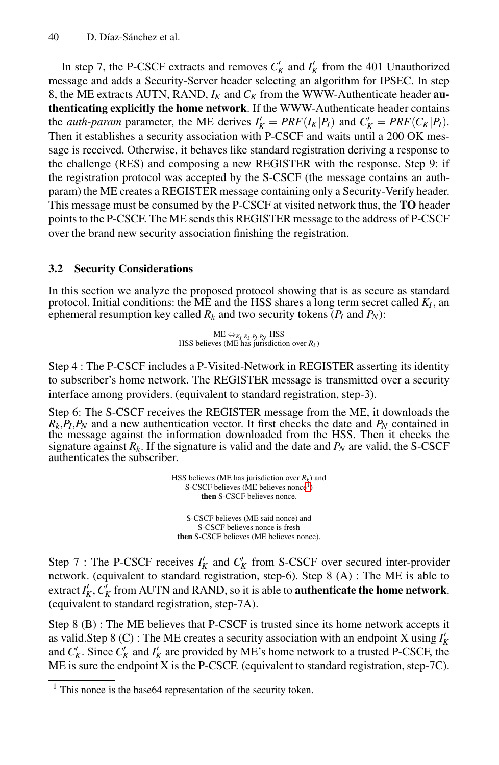#### 40 D. Díaz-Sánchez et al.

In step 7, the P-CSCF extracts and removes  $C_K$  and  $I_K$  from the 401 Unauthorized message and adds a Security-Server header selecting an algorithm for IPSEC. In step 8, the ME extracts AUTN, RAND,  $I_K$  and  $C_K$  from the WWW-Authenticate header **authenticating explicitly the home network**. If the WWW-Authenticate header contains the *auth-param* parameter, the ME derives  $I'_K = PRF(I_K|P_I)$  and  $C'_K = PRF(C_K|P_I)$ . Then it establishes a security association with P-CSCF and waits until a 200 OK message is received. Otherwise, it behaves like standard registration deriving a response to the challenge (RES) and composing a new REGISTER with the response. Step 9: if the registration protocol was accepted by the S-CSCF (the message contains an authparam) the ME creates a REGISTER message containing only a Security-Verify header. This message must be consumed by the P-CSCF at visited network thus, the **TO** header points to the P-CSCF. The ME sends this REGISTER message to the address of P-CSCF over the brand new security association finishing the registration.

### **3.2 Security Considerations**

In this section we analyze the proposed protocol showing that is as secure as standard protocol. Initial conditions: the ME and the HSS shares a long term secret called  $K_I$ , an ephemeral resumption key called  $R_k$  and two security tokens  $(P_I \text{ and } P_N)$ :

 $ME \Leftrightarrow_{K_I, R_k, P_I, P_N}$  HSS<br>HSS believes (ME has jurisdiction over  $R_k$ )

Step 4 : The P-CSCF includes a P-Visited-Network in REGISTER asserting its identity to subscriber's home network. The [R](#page-8-0)EGISTER message is transmitted over a security interface among providers. (equivalent to standard registration, step-3).

Step 6: The S-CSCF receives the REGISTER message from the ME, it downloads the  $R_k$ ,  $P_I$ ,  $P_N$  and a new authentication vector. It first checks the date and  $P_N$  contained in the message against the information downloaded from the HSS. Then it checks the signature against  $R_k$ . If the signature is valid and the date and  $P_N$  are valid, the S-CSCF authenticates the subscriber.

> HSS believes (ME has jurisdiction over *Rk*) and S-CSCF believes (ME believes nonce<sup>1)</sup> **then** S-CSCF believes nonce.

S-CSCF believes (ME said nonce) and S-CSCF believes nonce is fresh **then** S-CSCF believes (ME believes nonce).

Step 7 : The P-CSCF receives  $I'_K$  and  $C'_K$  from S-CSCF over secured inter-provider network. (equivalent to standard registration, step-6). Step 8 (A) : The ME is able to extract  $I'_K$ ,  $C'_K$  from AUTN and RAND, so it is able to **authenticate the home network**. (equivalent to standard registration, step-7A).

<span id="page-8-0"></span>Step 8 (B) : The ME believes that P-CSCF is trusted since its home network accepts it as valid. Step 8 (C) : The ME creates a security association with an endpoint X using  $I'_K$ and  $C_K'$ . Since  $C_K'$  and  $I_K'$  are provided by ME's home network to a trusted P-CSCF, the ME is sure the endpoint X is the P-CSCF. (equivalent to standard registration, step-7C).

 $<sup>1</sup>$  This nonce is the base 64 representation of the security token.</sup>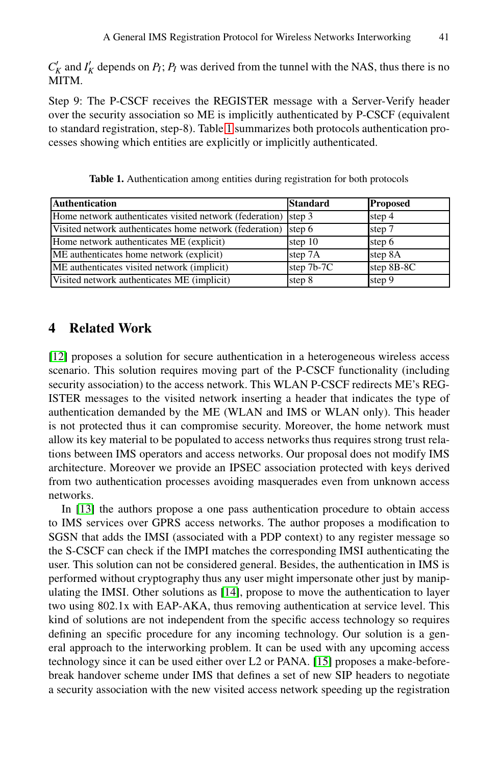$C'_{K}$  and  $I'_{K}$  depends on  $P_{I}$ ;  $P_{I}$  was derived from the tunnel with the NAS, thus there is no MITM.

Step 9: The P-CSCF receives the REGISTER message with a Server-Verify header over the security association so ME is implicitly authenticated by P-CSCF (equivalent to standard registration, step-8). Table 1 summarizes both protocols authentication processes showing which entities are explicitly or implicitly authenticated.

**Table 1.** Authentication among entities during registration for both protocols

| <b>Authentication</b>                                   | <b>Standard</b> | <b>Proposed</b> |
|---------------------------------------------------------|-----------------|-----------------|
| Home network authenticates visited network (federation) | step 3          | step 4          |
| Visited network authenticates home network (federation) | step 6          | step 7          |
| Home network authenticates ME (explicit)                | step $10$       | step 6          |
| ME authenticates home network (explicit)                | step 7A         | step 8A         |
| ME authenticates visited network (implicit)             | step 7b-7C      | step $8B-8C$    |
| Visited network authenticates ME (implicit)             | step 8          | step 9          |

## **4 Related Work**

[12] proposes a solution for secure authentication in a heterogeneous wireless access scenario. This solution requires moving part of the P-CSCF functionality (including security association) to the access network. This WLAN P-CSCF redirects ME's REG-ISTER messages to the visited network inserting a header that indicates the type of authentication demanded by the ME (WLAN and IMS or WLAN only). This header is not protected thus it can compromise security. Moreover, the home network must allow its key material to be populated to access networks thus requires strong trust relations between IMS operators and access networks. Our proposal does not modify IMS architecture. Moreover we provide an IPSEC association protected with keys derived from two authen[tica](#page-11-1)tion processes avoiding masquerades even from unknown access networks.

In [13] the authors propose a one pass authentication procedure to obtain access to IMS services over GPRS access networks. The author proposes a modification to SGSN that adds the IMSI (associated with a PDP context) to any register message so the S-CSCF can check if the IMPI [matc](#page-11-2)hes the corresponding IMSI authenticating the user. This solution can not be considered general. Besides, the authentication in IMS is performed without cryptography thus any user might impersonate other just by manipulating the IMSI. Other solutions as [14], propose to move the authentication to layer two using 802.1x with EAP-AKA, thus removing authentication at service level. This kind of solutions are not independent from the specific access technology so requires defining an specific procedure for any incoming technology. Our solution is a general approach to the interworking problem. It can be used with any upcoming access technology since it can be used either over L2 or PANA. [15] proposes a make-beforebreak handover scheme under IMS that defines a set of new SIP headers to negotiate a security association with the new visited access network speeding up the registration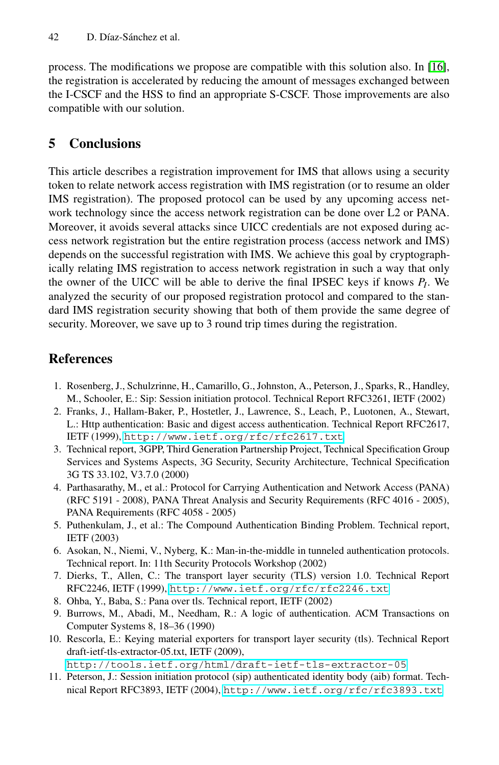42 D. Díaz-Sánchez et al.

process. The modifications we propose are compatible with this solution also. In [16], the registration is accelerated by reducing the amount of messages exchanged between the I-CSCF and the HSS to find an appropriate S-CSCF. Those improvements are also compatible with our solution.

# **5 Conclusions**

This article describes a registration improvement for IMS that allows using a security token to relate network access registration with IMS registration (or to resume an older IMS registration). The proposed protocol can be used by any upcoming access network technology since the access network registration can be done over L2 or PANA. Moreover, it avoids several attacks since UICC credentials are not exposed during access network registration but the entire registration process (access network and IMS) depends on the successful registration with IMS. We achieve this goal by cryptographically relating IMS registration to access network registration in such a way that only the owner of the UICC will be able to derive the final IPSEC keys if knows *PI*. We analyzed the security of our proposed registration protocol and compared to the standard IMS registration security showing that both of them provide the same degree of [security. Moreover, we save up to 3 round t](http://www.ietf.org/rfc/rfc2617.txt)rip times during the registration.

## <span id="page-10-3"></span><span id="page-10-2"></span><span id="page-10-1"></span><span id="page-10-0"></span>**References**

- 1. Rosenberg, J., Schulzrinne, H., Camarillo, G., Johnston, A., Peterson, J., Sparks, R., Handley, M., Schooler, E.: Sip: Session initiation protocol. Technical Report RFC3261, IETF (2002)
- <span id="page-10-4"></span>2. Franks, J., Hallam-Baker, P., Hostetler, J., Lawrence, S., Leach, P., Luotonen, A., Stewart, L.: Http authentication: Basic and digest access authentication. Technical Report RFC2617, IETF (1999), http://www.ietf.org/rfc/rfc2617.txt
- 3. Technical report, 3GPP, Third Generation Partnership Project, Technical Specification Group Services and Systems Aspects, 3G Security, Security Architecture, Technical Specification 3G TS 33.102, V3.7.0 (2000)
- <span id="page-10-6"></span><span id="page-10-5"></span>4. [Parthasarathy,](http://www.ietf.org/rfc/rfc2246.txt) [M.,](http://www.ietf.org/rfc/rfc2246.txt) [et](http://www.ietf.org/rfc/rfc2246.txt) [al.:](http://www.ietf.org/rfc/rfc2246.txt) [Protocol](http://www.ietf.org/rfc/rfc2246.txt) [for](http://www.ietf.org/rfc/rfc2246.txt) [Carrying](http://www.ietf.org/rfc/rfc2246.txt) [Authent](http://www.ietf.org/rfc/rfc2246.txt)ication and Network Access (PANA) (RFC 5191 - 2008), PANA Threat Analysis and Security Requirements (RFC 4016 - 2005), PANA Requirements (RFC 4058 - 2005)
- <span id="page-10-7"></span>5. Puthenkulam, J., et al.: The Compound Authentication Binding Problem. Technical report, IETF (2003)
- 6. Asokan, N., Niemi, V., Nyberg, K.: Man-in-the-middle in tunneled authentication protocols. [Technical](http://tools.ietf.org/html/draft-ietf-tls-extractor-05) [report.](http://tools.ietf.org/html/draft-ietf-tls-extractor-05) [In:](http://tools.ietf.org/html/draft-ietf-tls-extractor-05) [11th](http://tools.ietf.org/html/draft-ietf-tls-extractor-05) [Security](http://tools.ietf.org/html/draft-ietf-tls-extractor-05) [Protocols](http://tools.ietf.org/html/draft-ietf-tls-extractor-05) [Workshop](http://tools.ietf.org/html/draft-ietf-tls-extractor-05) [\(20](http://tools.ietf.org/html/draft-ietf-tls-extractor-05)02)
- 7. Dierks, T., Allen, C.: The transport layer security (TLS) version 1.0. Technical Report RFC2246, IETF (1999), [http://www.ietf.org/rfc/rfc22](http://www.ietf.org/rfc/rfc3893.txt)46.txt
- 8. Ohba, Y., Baba, S.: Pana over tls. Technical report, IETF (2002)
- 9. Burrows, M., Abadi, M., Needham, R.: A logic of authentication. ACM Transactions on Computer Systems 8, 18–36 (1990)
- 10. Rescorla, E.: Keying material exporters for transport layer security (tls). Technical Report draft-ietf-tls-extractor-05.txt, IETF (2009),

http://tools.ietf.org/html/draft-ietf-tls-extractor-05

11. Peterson, J.: Session initiation protocol (sip) authenticated identity body (aib) format. Technical Report RFC3893, IETF (2004), http://www.ietf.org/rfc/rfc3893.txt